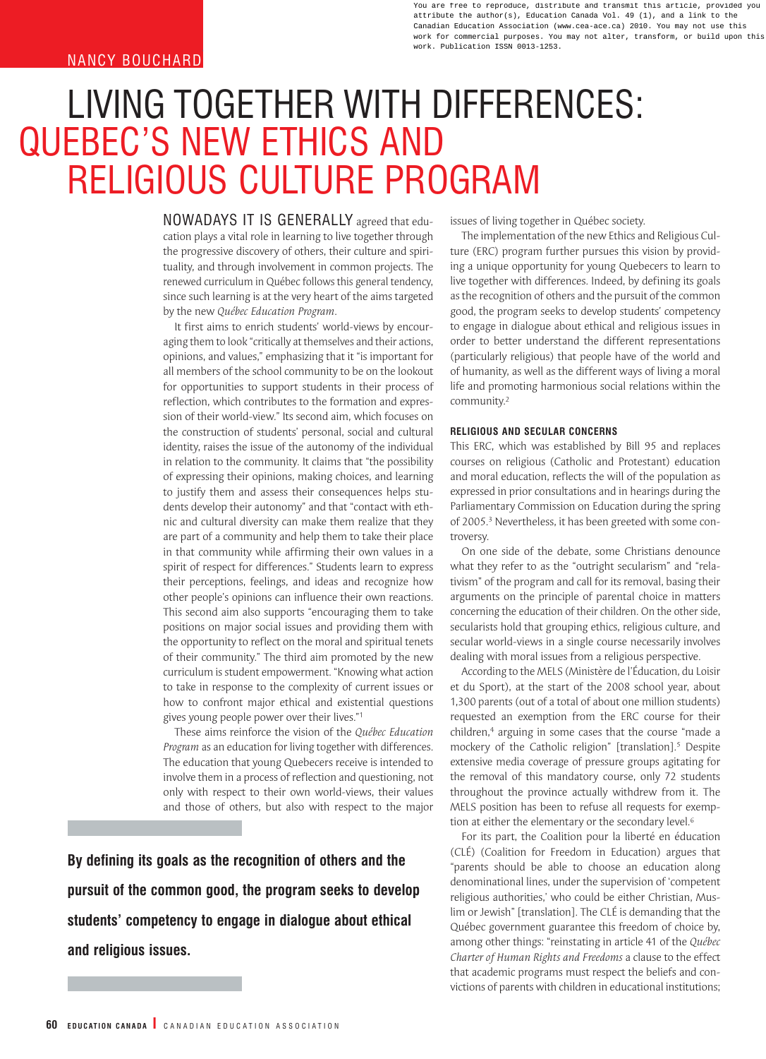## **NANCY BOUCHARD**

You are free to reproduce, distribute and transmit this article, provided you attribute the author(s), Education Canada Vol. 49 (1), and a link to the Canadian Education Association (www.cea-ace.ca) 2010. You may not use this work for commercial purposes. You may not alter, transform, or build upon this work. Publication ISSN 0013-1253.

# LIVING TOGETHER WITH DIFFERENCES: QUEBEC'S NEW ETHICS AND RELIGIOUS CULTURE PROGRAM

NOWADAYS IT IS GENERALLY agreed that education plays a vital role in learning to live together through the progressive discovery of others, their culture and spirituality, and through involvement in common projects. The renewed curriculum in Québec follows this general tendency, since such learning is at the very heart of the aims targeted by the new *Québec Education Program*.

It first aims to enrich students' world-views by encouraging them to look "critically at themselves and their actions, opinions, and values," emphasizing that it "is important for all members of the school community to be on the lookout for opportunities to support students in their process of reflection, which contributes to the formation and expression of their world-view." Its second aim, which focuses on the construction of students' personal, social and cultural identity, raises the issue of the autonomy of the individual in relation to the community. It claims that "the possibility of expressing their opinions, making choices, and learning to justify them and assess their consequences helps students develop their autonomy" and that "contact with ethnic and cultural diversity can make them realize that they are part of a community and help them to take their place in that community while affirming their own values in a spirit of respect for differences." Students learn to express their perceptions, feelings, and ideas and recognize how other people's opinions can influence their own reactions. This second aim also supports "encouraging them to take positions on major social issues and providing them with the opportunity to reflect on the moral and spiritual tenets of their community." The third aim promoted by the new curriculum is student empowerment. "Knowing what action to take in response to the complexity of current issues or how to confront major ethical and existential questions gives young people power over their lives."1

These aims reinforce the vision of the *Québec Education Program* as an education for living together with differences. The education that young Quebecers receive is intended to involve them in a process of reflection and questioning, not only with respect to their own world-views, their values and those of others, but also with respect to the major

**By defining its goals as the recognition of others and the pursuit of the common good, the program seeks to develop students' competency to engage in dialogue about ethical and religious issues.**

issues of living together in Québec society.

The implementation of the new Ethics and Religious Culture (ERC) program further pursues this vision by providing a unique opportunity for young Quebecers to learn to live together with differences. Indeed, by defining its goals as the recognition of others and the pursuit of the common good, the program seeks to develop students' competency to engage in dialogue about ethical and religious issues in order to better understand the different representations (particularly religious) that people have of the world and of humanity, as well as the different ways of living a moral life and promoting harmonious social relations within the community.2

### **RELIGIOUS AND SECULAR CONCERNS**

This ERC, which was established by Bill 95 and replaces courses on religious (Catholic and Protestant) education and moral education, reflects the will of the population as expressed in prior consultations and in hearings during the Parliamentary Commission on Education during the spring of 2005.<sup>3</sup> Nevertheless, it has been greeted with some controversy.

On one side of the debate, some Christians denounce what they refer to as the "outright secularism" and "relativism" of the program and call for its removal, basing their arguments on the principle of parental choice in matters concerning the education of their children. On the other side, secularists hold that grouping ethics, religious culture, and secular world-views in a single course necessarily involves dealing with moral issues from a religious perspective.

According to the MELS (Ministère de l'Éducation, du Loisir et du Sport), at the start of the 2008 school year, about 1,300 parents (out of a total of about one million students) requested an exemption from the ERC course for their children,<sup>4</sup> arguing in some cases that the course "made a mockery of the Catholic religion" [translation].5 Despite extensive media coverage of pressure groups agitating for the removal of this mandatory course, only 72 students throughout the province actually withdrew from it. The MELS position has been to refuse all requests for exemption at either the elementary or the secondary level.6

For its part, the Coalition pour la liberté en éducation (CLÉ) (Coalition for Freedom in Education) argues that "parents should be able to choose an education along denominational lines, under the supervision of 'competent religious authorities,' who could be either Christian, Muslim or Jewish" [translation]. The CLÉ is demanding that the Québec government guarantee this freedom of choice by, among other things: "reinstating in article 41 of the *Québec Charter of Human Rights and Freedoms* a clause to the effect that academic programs must respect the beliefs and convictions of parents with children in educational institutions;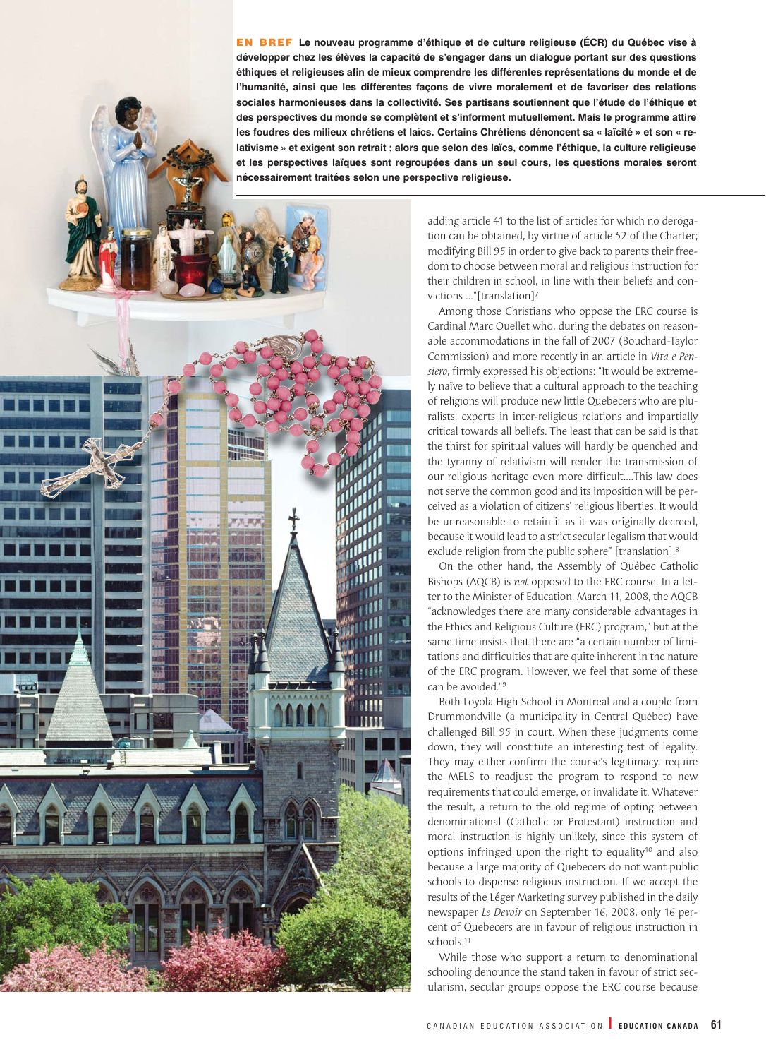EN BREF **Le nouveau programme d'éthique et de culture religieuse (ÉCR) du Québec vise à développer chez les élèves la capacité de s'engager dans un dialogue portant sur des questions éthiques et religieuses afin de mieux comprendre les différentes représentations du monde et de l'humanité, ainsi que les différentes façons de vivre moralement et de favoriser des relations sociales harmonieuses dans la collectivité. Ses partisans soutiennent que l'étude de l'éthique et des perspectives du monde se complètent et s'informent mutuellement. Mais le programme attire les foudres des milieux chrétiens et laïcs. Certains Chrétiens dénoncent sa « laïcité » et son « re**lativisme » et exigent son retrait ; alors que selon des laïcs, comme l'éthique, la culture religieuse **et les perspectives laïques sont regroupées dans un seul cours, les questions morales seront nécessairement traitées selon une perspective religieuse.**

William **THE PARTIES** 

adding article 41 to the list of articles for which no derogation can be obtained, by virtue of article 52 of the Charter; modifying Bill 95 in order to give back to parents their freedom to choose between moral and religious instruction for their children in school, in line with their beliefs and convictions …"[translation]7

Among those Christians who oppose the ERC course is Cardinal Marc Ouellet who, during the debates on reasonable accommodations in the fall of 2007 (Bouchard-Taylor Commission) and more recently in an article in *Vita e Pensiero*, firmly expressed his objections: "It would be extremely naïve to believe that a cultural approach to the teaching of religions will produce new little Quebecers who are pluralists, experts in inter-religious relations and impartially critical towards all beliefs. The least that can be said is that the thirst for spiritual values will hardly be quenched and the tyranny of relativism will render the transmission of our religious heritage even more difficult.…This law does not serve the common good and its imposition will be perceived as a violation of citizens' religious liberties. It would be unreasonable to retain it as it was originally decreed, because it would lead to a strict secular legalism that would exclude religion from the public sphere" [translation].8

On the other hand, the Assembly of Québec Catholic Bishops (AQCB) is *not* opposed to the ERC course. In a letter to the Minister of Education, March 11, 2008, the AQCB "acknowledges there are many considerable advantages in the Ethics and Religious Culture (ERC) program," but at the same time insists that there are "a certain number of limitations and difficulties that are quite inherent in the nature of the ERC program. However, we feel that some of these can be avoided."9

Both Loyola High School in Montreal and a couple from Drummondville (a municipality in Central Québec) have challenged Bill 95 in court. When these judgments come down, they will constitute an interesting test of legality. They may either confirm the course's legitimacy, require the MELS to readjust the program to respond to new requirements that could emerge, or invalidate it. Whatever the result, a return to the old regime of opting between denominational (Catholic or Protestant) instruction and moral instruction is highly unlikely, since this system of options infringed upon the right to equality<sup>10</sup> and also because a large majority of Quebecers do not want public schools to dispense religious instruction. If we accept the results of the Léger Marketing survey published in the daily newspaper *Le Devoir* on September 16, 2008, only 16 percent of Quebecers are in favour of religious instruction in schools.11

While those who support a return to denominational schooling denounce the stand taken in favour of strict secularism, secular groups oppose the ERC course because